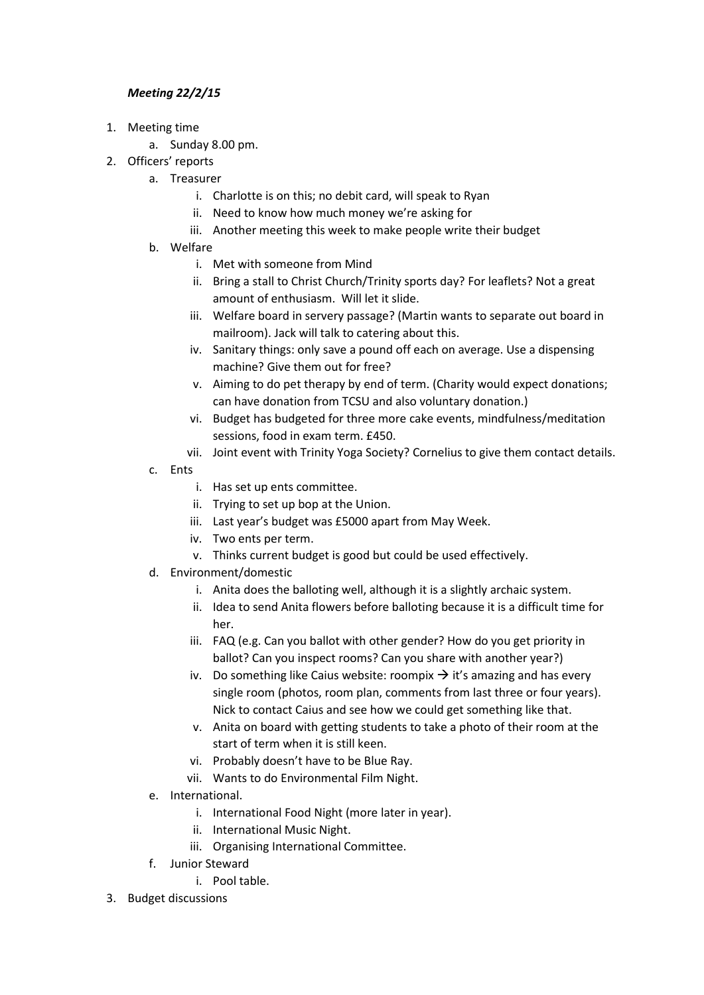## *Meeting 22/2/15*

- 1. Meeting time
	- a. Sunday 8.00 pm.
- 2. Officers' reports
	- a. Treasurer
		- i. Charlotte is on this; no debit card, will speak to Ryan
		- ii. Need to know how much money we're asking for
		- iii. Another meeting this week to make people write their budget
	- b. Welfare
		- i. Met with someone from Mind
		- ii. Bring a stall to Christ Church/Trinity sports day? For leaflets? Not a great amount of enthusiasm. Will let it slide.
		- iii. Welfare board in servery passage? (Martin wants to separate out board in mailroom). Jack will talk to catering about this.
		- iv. Sanitary things: only save a pound off each on average. Use a dispensing machine? Give them out for free?
		- v. Aiming to do pet therapy by end of term. (Charity would expect donations; can have donation from TCSU and also voluntary donation.)
		- vi. Budget has budgeted for three more cake events, mindfulness/meditation sessions, food in exam term. £450.
		- vii. Joint event with Trinity Yoga Society? Cornelius to give them contact details.
	- c. Ents
		- i. Has set up ents committee.
		- ii. Trying to set up bop at the Union.
		- iii. Last year's budget was £5000 apart from May Week.
		- iv. Two ents per term.
		- v. Thinks current budget is good but could be used effectively.
	- d. Environment/domestic
		- i. Anita does the balloting well, although it is a slightly archaic system.
		- ii. Idea to send Anita flowers before balloting because it is a difficult time for her.
		- iii. FAQ (e.g. Can you ballot with other gender? How do you get priority in ballot? Can you inspect rooms? Can you share with another year?)
		- iv. Do something like Caius website: roompix  $\rightarrow$  it's amazing and has every single room (photos, room plan, comments from last three or four years). Nick to contact Caius and see how we could get something like that.
		- v. Anita on board with getting students to take a photo of their room at the start of term when it is still keen.
		- vi. Probably doesn't have to be Blue Ray.
		- vii. Wants to do Environmental Film Night.
	- e. International.
		- i. International Food Night (more later in year).
		- ii. International Music Night.
		- iii. Organising International Committee.
	- f. Junior Steward
		- i. Pool table.
- 3. Budget discussions